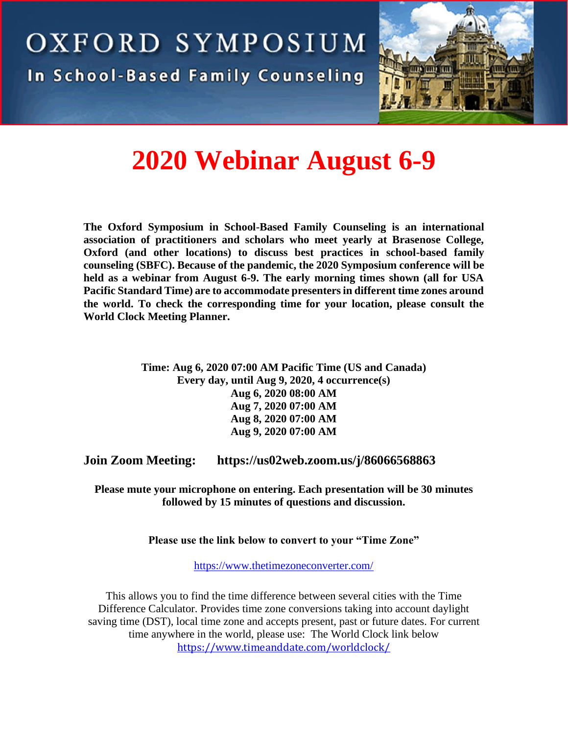



# **2020 Webinar August 6-9**

**The [Oxford Symposium in School-Based Family Counseling](https://www.oxfordsymposium-sbfc.com/) is an international association of practitioners and scholars who meet yearly at Brasenose College, Oxford (and other locations) to discuss best practices in school-based family counseling (SBFC). Because of the pandemic, the 2020 Symposium conference will be held as a webinar from August 6-9. The early morning times shown (all for USA Pacific Standard Time) are to accommodate presenters in different time zones around the world. To check the corresponding time for your location, please consult the [World Clock Meeting Planner.](https://www.timeanddate.com/worldclock/meetingtime.html?day=17&month=5&year=2019&p1=75&p2=136&iv=0)**

> **Time: Aug 6, 2020 07:00 AM Pacific Time (US and Canada) Every day, until Aug 9, 2020, 4 occurrence(s) Aug 6, 2020 08:00 AM Aug 7, 2020 07:00 AM Aug 8, 2020 07:00 AM Aug 9, 2020 07:00 AM**

**Join Zoom Meeting: <https://us02web.zoom.us/j/86066568863>**

**Please mute your microphone on entering. Each presentation will be 30 minutes followed by 15 minutes of questions and discussion.**

**Please use the link below to convert to your "Time Zone"**

<https://www.thetimezoneconverter.com/>

This allows you to find the time difference between several cities with the Time Difference Calculator. Provides time zone conversions taking into account daylight saving time (DST), local time zone and accepts present, past or future dates. For current time anywhere in the world, please use: [The World Clock](https://www.timeanddate.com/worldclock/) link below <https://www.timeanddate.com/worldclock/>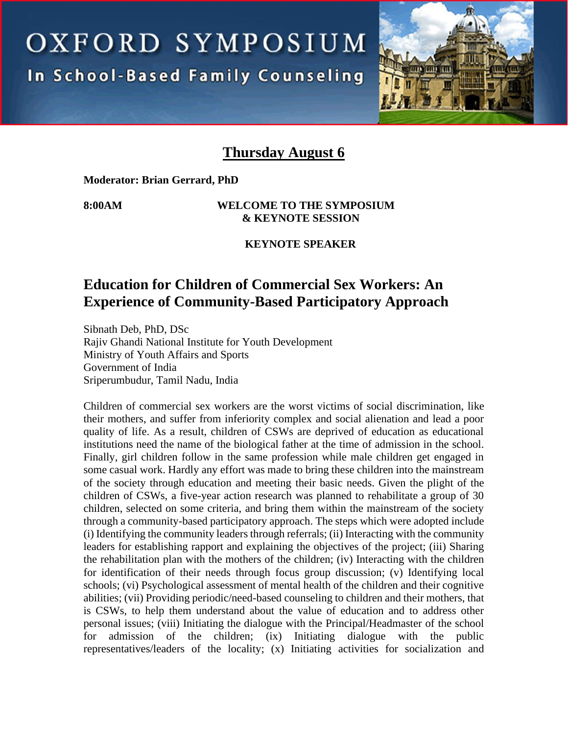OXFORD SYMPOSIUM **In School-Based Family Counseling** 



### **Thursday August 6**

**Moderator: Brian Gerrard, PhD**

### **8:00AM WELCOME TO THE SYMPOSIUM & KEYNOTE SESSION**

### **KEYNOTE SPEAKER**

# **Education for Children of Commercial Sex Workers: An Experience of Community-Based Participatory Approach**

Sibnath Deb, PhD, DSc Rajiv Ghandi National Institute for Youth Development Ministry of Youth Affairs and Sports Government of India Sriperumbudur, Tamil Nadu, India

Children of commercial sex workers are the worst victims of social discrimination, like their mothers, and suffer from inferiority complex and social alienation and lead a poor quality of life. As a result, children of CSWs are deprived of education as educational institutions need the name of the biological father at the time of admission in the school. Finally, girl children follow in the same profession while male children get engaged in some casual work. Hardly any effort was made to bring these children into the mainstream of the society through education and meeting their basic needs. Given the plight of the children of CSWs, a five-year action research was planned to rehabilitate a group of 30 children, selected on some criteria, and bring them within the mainstream of the society through a community-based participatory approach. The steps which were adopted include (i) Identifying the community leaders through referrals; (ii) Interacting with the community leaders for establishing rapport and explaining the objectives of the project; (iii) Sharing the rehabilitation plan with the mothers of the children; (iv) Interacting with the children for identification of their needs through focus group discussion; (v) Identifying local schools; (vi) Psychological assessment of mental health of the children and their cognitive abilities; (vii) Providing periodic/need-based counseling to children and their mothers, that is CSWs, to help them understand about the value of education and to address other personal issues; (viii) Initiating the dialogue with the Principal/Headmaster of the school for admission of the children; (ix) Initiating dialogue with the public representatives/leaders of the locality; (x) Initiating activities for socialization and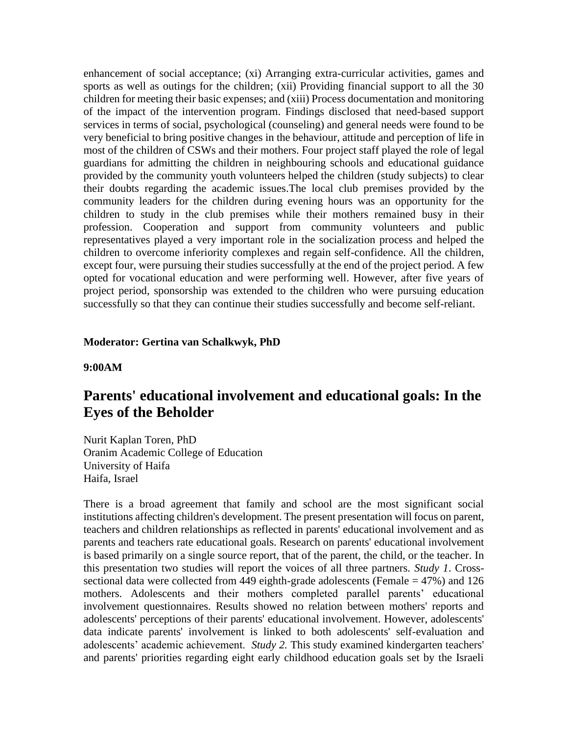enhancement of social acceptance; (xi) Arranging extra-curricular activities, games and sports as well as outings for the children; (xii) Providing financial support to all the 30 children for meeting their basic expenses; and (xiii) Process documentation and monitoring of the impact of the intervention program. Findings disclosed that need-based support services in terms of social, psychological (counseling) and general needs were found to be very beneficial to bring positive changes in the behaviour, attitude and perception of life in most of the children of CSWs and their mothers. Four project staff played the role of legal guardians for admitting the children in neighbouring schools and educational guidance provided by the community youth volunteers helped the children (study subjects) to clear their doubts regarding the academic issues.The local club premises provided by the community leaders for the children during evening hours was an opportunity for the children to study in the club premises while their mothers remained busy in their profession. Cooperation and support from community volunteers and public representatives played a very important role in the socialization process and helped the children to overcome inferiority complexes and regain self-confidence. All the children, except four, were pursuing their studies successfully at the end of the project period. A few opted for vocational education and were performing well. However, after five years of project period, sponsorship was extended to the children who were pursuing education successfully so that they can continue their studies successfully and become self-reliant.

#### **Moderator: Gertina van Schalkwyk, PhD**

#### **9:00AM**

### **Parents' educational involvement and educational goals: In the Eyes of the Beholder**

Nurit Kaplan Toren, PhD Oranim Academic College of Education University of Haifa Haifa, Israel

There is a broad agreement that family and school are the most significant social institutions affecting children's development. The present presentation will focus on parent, teachers and children relationships as reflected in parents' educational involvement and as parents and teachers rate educational goals. Research on parents' educational involvement is based primarily on a single source report, that of the parent, the child, or the teacher. In this presentation two studies will report the voices of all three partners. *Study 1*. Crosssectional data were collected from 449 eighth-grade adolescents (Female = 47%) and 126 mothers. Adolescents and their mothers completed parallel parents' educational involvement questionnaires. Results showed no relation between mothers' reports and adolescents' perceptions of their parents' educational involvement. However, adolescents' data indicate parents' involvement is linked to both adolescents' self-evaluation and adolescents' academic achievement. *Study 2.* This study examined kindergarten teachers' and parents' priorities regarding eight early childhood education goals set by the Israeli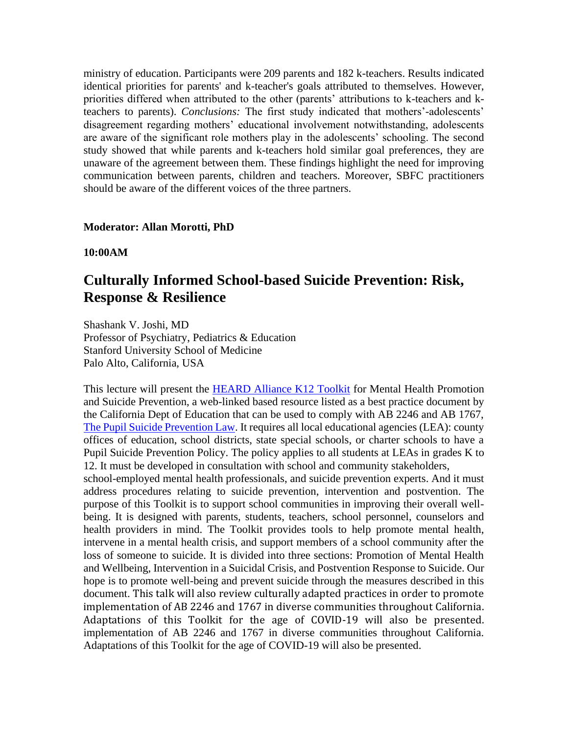ministry of education. Participants were 209 parents and 182 k-teachers. Results indicated identical priorities for parents' and k-teacher's goals attributed to themselves. However, priorities differed when attributed to the other (parents' attributions to k-teachers and kteachers to parents). *Conclusions:* The first study indicated that mothers'-adolescents' disagreement regarding mothers' educational involvement notwithstanding, adolescents are aware of the significant role mothers play in the adolescents' schooling. The second study showed that while parents and k-teachers hold similar goal preferences, they are unaware of the agreement between them. These findings highlight the need for improving communication between parents, children and teachers. Moreover, SBFC practitioners should be aware of the different voices of the three partners.

### **Moderator: Allan Morotti, PhD**

**10:00AM**

# **Culturally Informed School-based Suicide Prevention: Risk, Response & Resilience**

Shashank V. Joshi, MD Professor of Psychiatry, Pediatrics & Education Stanford University School of Medicine Palo Alto, California, USA

This lecture will present the [HEARD Alliance K12 Toolkit](https://www.heardalliance.org/help-toolkit/) for Mental Health Promotion and Suicide Prevention, a web-linked based resource listed as a best practice document by the California Dept of Education that can be used to comply with AB 2246 and AB 1767, [The Pupil Suicide Prevention Law.](https://www.cde.ca.gov/ls/cg/mh/suicideprevres.asp) It requires all local educational agencies (LEA): county offices of education, school districts, state special schools, or charter schools to have a Pupil Suicide Prevention Policy. The policy applies to all students at LEAs in grades K to 12. It must be developed in consultation with school and community stakeholders,

school-employed mental health professionals, and suicide prevention experts. And it must address procedures relating to suicide prevention, intervention and postvention. The purpose of this Toolkit is to support school communities in improving their overall wellbeing. It is designed with parents, students, teachers, school personnel, counselors and health providers in mind. The Toolkit provides tools to help promote mental health, intervene in a mental health crisis, and support members of a school community after the loss of someone to suicide. It is divided into three sections: Promotion of Mental Health and Wellbeing, Intervention in a Suicidal Crisis, and Postvention Response to Suicide. Our hope is to promote well-being and prevent suicide through the measures described in this document. This talk will also review culturally adapted practices in order to promote implementation of AB 2246 and 1767 in diverse communities throughout California. Adaptations of this Toolkit for the age of COVID-19 will also be presented. implementation of AB 2246 and 1767 in diverse communities throughout California. Adaptations of this Toolkit for the age of COVID-19 will also be presented.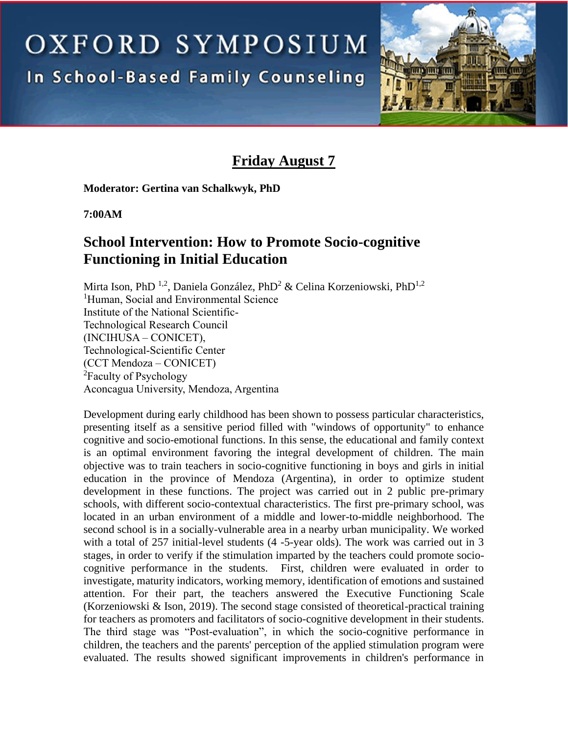OXFORD SYMPOSIUM

In School-Based Family Counseling



# **Friday August 7**

**Moderator: Gertina van Schalkwyk, PhD** 

**7:00AM**

# **School Intervention: How to Promote Socio-cognitive Functioning in Initial Education**

Mirta Ison, PhD<sup>1,2</sup>, Daniela González, PhD<sup>2</sup> & Celina Korzeniowski, PhD<sup>1,2</sup> <sup>1</sup>Human, Social and Environmental Science Institute of the National Scientific-Technological Research Council (INCIHUSA – CONICET), Technological-Scientific Center (CCT Mendoza – CONICET) <sup>2</sup>Faculty of Psychology Aconcagua University, Mendoza, Argentina

Development during early childhood has been shown to possess particular characteristics, presenting itself as a sensitive period filled with "windows of opportunity" to enhance cognitive and socio-emotional functions. In this sense, the educational and family context is an optimal environment favoring the integral development of children. The main objective was to train teachers in socio-cognitive functioning in boys and girls in initial education in the province of Mendoza (Argentina), in order to optimize student development in these functions. The project was carried out in 2 public pre-primary schools, with different socio-contextual characteristics. The first pre-primary school, was located in an urban environment of a middle and lower-to-middle neighborhood. The second school is in a socially-vulnerable area in a nearby urban municipality. We worked with a total of 257 initial-level students (4 -5-year olds). The work was carried out in 3 stages, in order to verify if the stimulation imparted by the teachers could promote sociocognitive performance in the students. First, children were evaluated in order to investigate, maturity indicators, working memory, identification of emotions and sustained attention. For their part, the teachers answered the Executive Functioning Scale (Korzeniowski & Ison, 2019). The second stage consisted of theoretical-practical training for teachers as promoters and facilitators of socio-cognitive development in their students. The third stage was "Post-evaluation", in which the socio-cognitive performance in children, the teachers and the parents' perception of the applied stimulation program were evaluated. The results showed significant improvements in children's performance in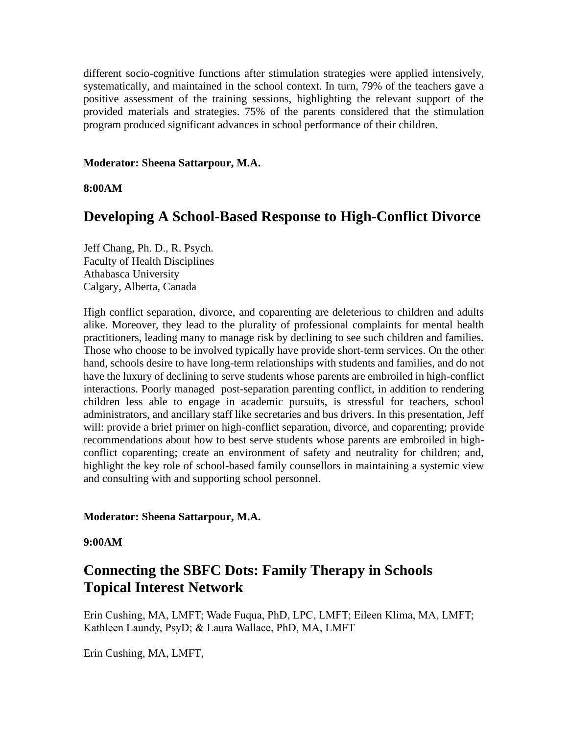different socio-cognitive functions after stimulation strategies were applied intensively, systematically, and maintained in the school context. In turn, 79% of the teachers gave a positive assessment of the training sessions, highlighting the relevant support of the provided materials and strategies. 75% of the parents considered that the stimulation program produced significant advances in school performance of their children.

#### **Moderator: Sheena Sattarpour, M.A.**

**8:00AM**

### **Developing A School-Based Response to High-Conflict Divorce**

Jeff Chang, Ph. D., R. Psych. Faculty of Health Disciplines Athabasca University Calgary, Alberta, Canada

High conflict separation, divorce, and coparenting are deleterious to children and adults alike. Moreover, they lead to the plurality of professional complaints for mental health practitioners, leading many to manage risk by declining to see such children and families. Those who choose to be involved typically have provide short-term services. On the other hand, schools desire to have long-term relationships with students and families, and do not have the luxury of declining to serve students whose parents are embroiled in high-conflict interactions. Poorly managed post-separation parenting conflict, in addition to rendering children less able to engage in academic pursuits, is stressful for teachers, school administrators, and ancillary staff like secretaries and bus drivers. In this presentation, Jeff will: provide a brief primer on high-conflict separation, divorce, and coparenting; provide recommendations about how to best serve students whose parents are embroiled in highconflict coparenting; create an environment of safety and neutrality for children; and, highlight the key role of school-based family counsellors in maintaining a systemic view and consulting with and supporting school personnel.

### **Moderator: Sheena Sattarpour, M.A.**

### **9:00AM**

# **Connecting the SBFC Dots: Family Therapy in Schools Topical Interest Network**

Erin Cushing, MA, LMFT; Wade Fuqua, PhD, LPC, LMFT; Eileen Klima, MA, LMFT; Kathleen Laundy, PsyD; & Laura Wallace, PhD, MA, LMFT

Erin Cushing, MA, LMFT,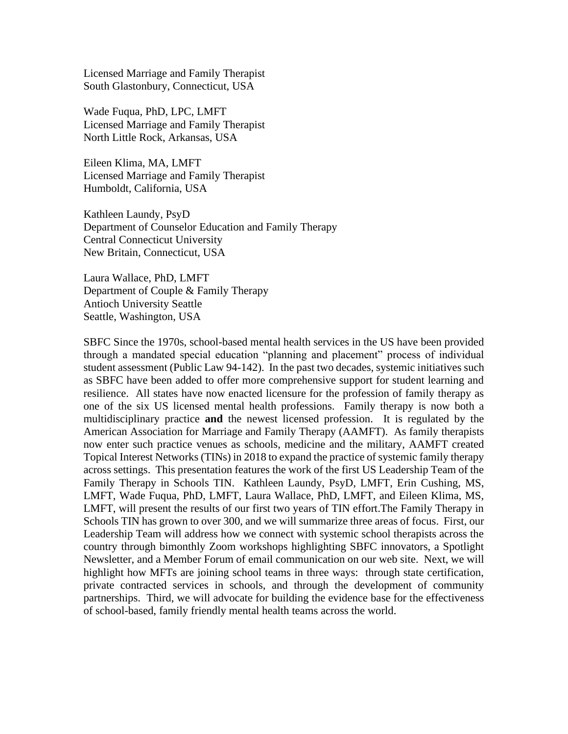Licensed Marriage and Family Therapist South Glastonbury, Connecticut, USA

Wade Fuqua, PhD, LPC, LMFT Licensed Marriage and Family Therapist North Little Rock, Arkansas, USA

Eileen Klima, MA, LMFT Licensed Marriage and Family Therapist Humboldt, California, USA

Kathleen Laundy, PsyD Department of Counselor Education and Family Therapy Central Connecticut University New Britain, Connecticut, USA

Laura Wallace, PhD, LMFT Department of Couple & Family Therapy Antioch University Seattle Seattle, Washington, USA

SBFC Since the 1970s, school-based mental health services in the US have been provided through a mandated special education "planning and placement" process of individual student assessment (Public Law 94-142). In the past two decades, systemic initiatives such as SBFC have been added to offer more comprehensive support for student learning and resilience. All states have now enacted licensure for the profession of family therapy as one of the six US licensed mental health professions. Family therapy is now both a multidisciplinary practice **and** the newest licensed profession. It is regulated by the American Association for Marriage and Family Therapy (AAMFT). As family therapists now enter such practice venues as schools, medicine and the military, AAMFT created Topical Interest Networks (TINs) in 2018 to expand the practice of systemic family therapy across settings. This presentation features the work of the first US Leadership Team of the Family Therapy in Schools TIN. Kathleen Laundy, PsyD, LMFT, Erin Cushing, MS, LMFT, Wade Fuqua, PhD, LMFT, Laura Wallace, PhD, LMFT, and Eileen Klima, MS, LMFT, will present the results of our first two years of TIN effort.The Family Therapy in Schools TIN has grown to over 300, and we will summarize three areas of focus. First, our Leadership Team will address how we connect with systemic school therapists across the country through bimonthly Zoom workshops highlighting SBFC innovators, a Spotlight Newsletter, and a Member Forum of email communication on our web site. Next, we will highlight how MFTs are joining school teams in three ways: through state certification, private contracted services in schools, and through the development of community partnerships. Third, we will advocate for building the evidence base for the effectiveness of school-based, family friendly mental health teams across the world.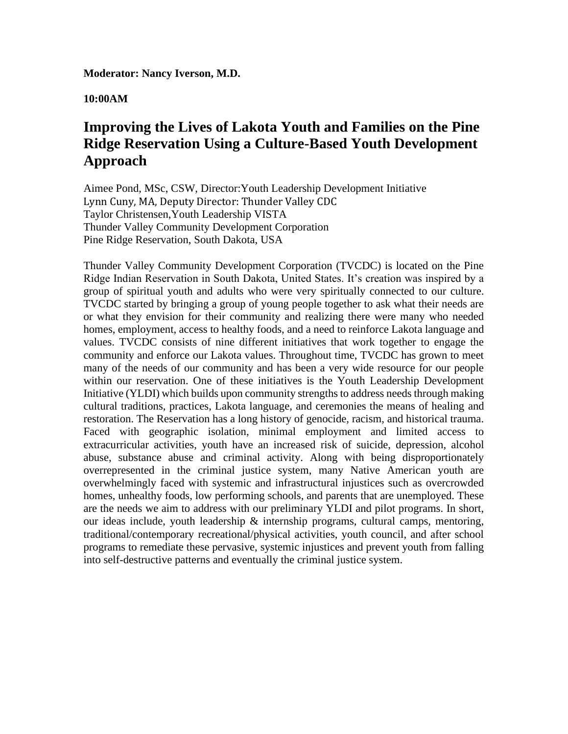**Moderator: Nancy Iverson, M.D.**

**10:00AM**

# **Improving the Lives of Lakota Youth and Families on the Pine Ridge Reservation Using a Culture-Based Youth Development Approach**

Aimee Pond, MSc, CSW, Director:Youth Leadership Development Initiative Lynn Cuny, MA, Deputy Director: Thunder Valley CDC Taylor Christensen,Youth Leadership VISTA Thunder Valley Community Development Corporation Pine Ridge Reservation, South Dakota, USA

Thunder Valley Community Development Corporation (TVCDC) is located on the Pine Ridge Indian Reservation in South Dakota, United States. It's creation was inspired by a group of spiritual youth and adults who were very spiritually connected to our culture. TVCDC started by bringing a group of young people together to ask what their needs are or what they envision for their community and realizing there were many who needed homes, employment, access to healthy foods, and a need to reinforce Lakota language and values. TVCDC consists of nine different initiatives that work together to engage the community and enforce our Lakota values. Throughout time, TVCDC has grown to meet many of the needs of our community and has been a very wide resource for our people within our reservation. One of these initiatives is the Youth Leadership Development Initiative (YLDI) which builds upon community strengths to address needs through making cultural traditions, practices, Lakota language, and ceremonies the means of healing and restoration. The Reservation has a long history of genocide, racism, and historical trauma. Faced with geographic isolation, minimal employment and limited access to extracurricular activities, youth have an increased risk of suicide, depression, alcohol abuse, substance abuse and criminal activity. Along with being disproportionately overrepresented in the criminal justice system, many Native American youth are overwhelmingly faced with systemic and infrastructural injustices such as overcrowded homes, unhealthy foods, low performing schools, and parents that are unemployed. These are the needs we aim to address with our preliminary YLDI and pilot programs. In short, our ideas include, youth leadership  $\&$  internship programs, cultural camps, mentoring, traditional/contemporary recreational/physical activities, youth council, and after school programs to remediate these pervasive, systemic injustices and prevent youth from falling into self-destructive patterns and eventually the criminal justice system.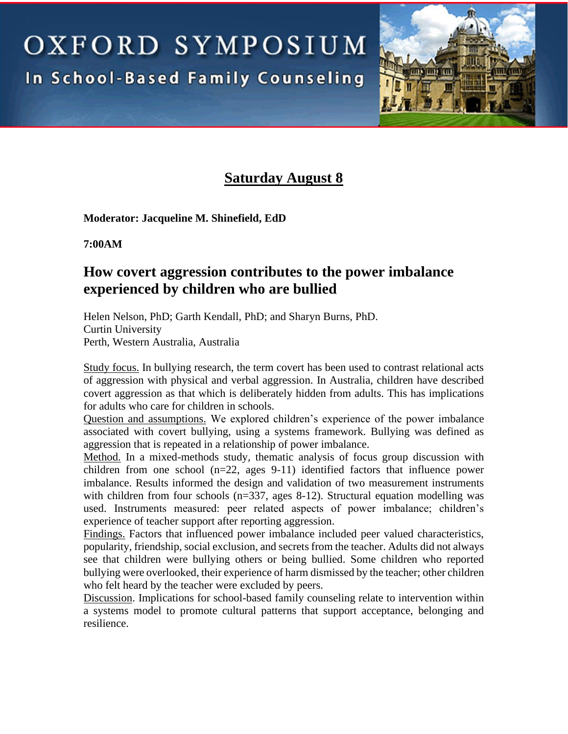OXFORD SYMPOSIUM In School-Based Family Counseling



# **Saturday August 8**

**Moderator: Jacqueline M. Shinefield, EdD** 

**7:00AM**

### **How covert aggression contributes to the power imbalance experienced by children who are bullied**

Helen Nelson, PhD; Garth Kendall, PhD; and Sharyn Burns, PhD. Curtin University Perth, Western Australia, Australia

Study focus. In bullying research, the term covert has been used to contrast relational acts of aggression with physical and verbal aggression. In Australia, children have described covert aggression as that which is deliberately hidden from adults. This has implications for adults who care for children in schools.

Question and assumptions. We explored children's experience of the power imbalance associated with covert bullying, using a systems framework. Bullying was defined as aggression that is repeated in a relationship of power imbalance.

Method. In a mixed-methods study, thematic analysis of focus group discussion with children from one school (n=22, ages 9-11) identified factors that influence power imbalance. Results informed the design and validation of two measurement instruments with children from four schools  $(n=337, \text{ ages } 8-12)$ . Structural equation modelling was used. Instruments measured: peer related aspects of power imbalance; children's experience of teacher support after reporting aggression.

Findings. Factors that influenced power imbalance included peer valued characteristics, popularity, friendship, social exclusion, and secrets from the teacher. Adults did not always see that children were bullying others or being bullied. Some children who reported bullying were overlooked, their experience of harm dismissed by the teacher; other children who felt heard by the teacher were excluded by peers.

Discussion. Implications for school-based family counseling relate to intervention within a systems model to promote cultural patterns that support acceptance, belonging and resilience.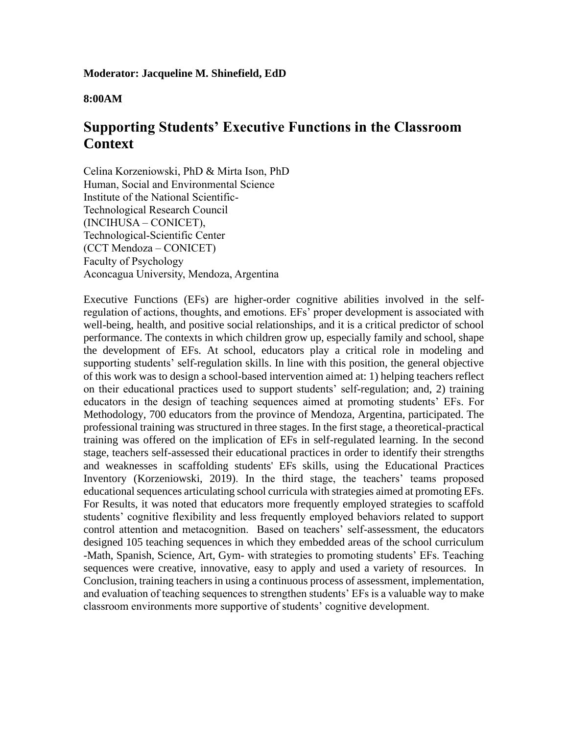**Moderator: Jacqueline M. Shinefield, EdD**

#### **8:00AM**

### **Supporting Students' Executive Functions in the Classroom Context**

Celina Korzeniowski, PhD & Mirta Ison, PhD Human, Social and Environmental Science Institute of the National Scientific-Technological Research Council (INCIHUSA – CONICET), Technological-Scientific Center (CCT Mendoza – CONICET) Faculty of Psychology Aconcagua University, Mendoza, Argentina

Executive Functions (EFs) are higher-order cognitive abilities involved in the selfregulation of actions, thoughts, and emotions. EFs' proper development is associated with well-being, health, and positive social relationships, and it is a critical predictor of school performance. The contexts in which children grow up, especially family and school, shape the development of EFs. At school, educators play a critical role in modeling and supporting students' self-regulation skills. In line with this position, the general objective of this work was to design a school-based intervention aimed at: 1) helping teachers reflect on their educational practices used to support students' self-regulation; and, 2) training educators in the design of teaching sequences aimed at promoting students' EFs. For Methodology, 700 educators from the province of Mendoza, Argentina, participated. The professional training was structured in three stages. In the first stage, a theoretical-practical training was offered on the implication of EFs in self-regulated learning. In the second stage, teachers self-assessed their educational practices in order to identify their strengths and weaknesses in scaffolding students' EFs skills, using the Educational Practices Inventory (Korzeniowski, 2019). In the third stage, the teachers' teams proposed educational sequences articulating school curricula with strategies aimed at promoting EFs. For Results, it was noted that educators more frequently employed strategies to scaffold students' cognitive flexibility and less frequently employed behaviors related to support control attention and metacognition. Based on teachers' self-assessment, the educators designed 105 teaching sequences in which they embedded areas of the school curriculum -Math, Spanish, Science, Art, Gym- with strategies to promoting students' EFs. Teaching sequences were creative, innovative, easy to apply and used a variety of resources. In Conclusion, training teachers in using a continuous process of assessment, implementation, and evaluation of teaching sequences to strengthen students' EFs is a valuable way to make classroom environments more supportive of students' cognitive development.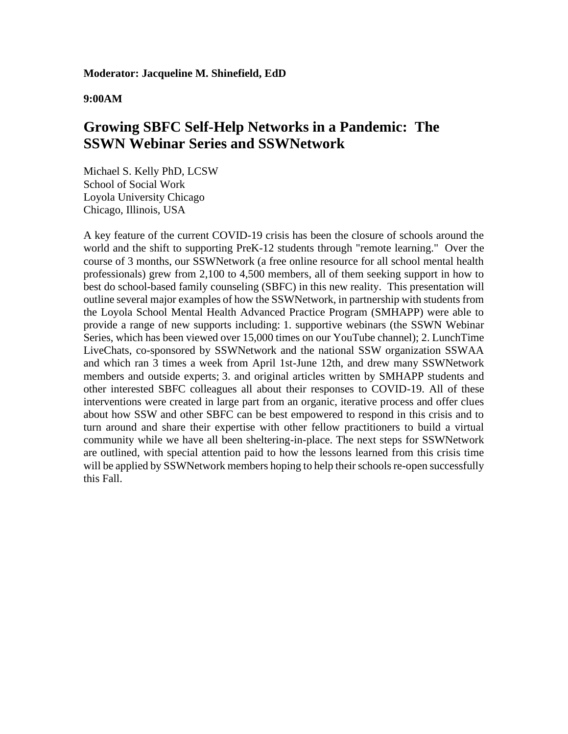#### **Moderator: Jacqueline M. Shinefield, EdD**

### **9:00AM**

### **Growing SBFC Self-Help Networks in a Pandemic: The SSWN Webinar Series and SSWNetwork**

Michael S. Kelly PhD, LCSW School of Social Work Loyola University Chicago Chicago, Illinois, USA

A key feature of the current COVID-19 crisis has been the closure of schools around the world and the shift to supporting PreK-12 students through "remote learning." Over the course of 3 months, our SSWNetwork (a free online resource for all school mental health professionals) grew from 2,100 to 4,500 members, all of them seeking support in how to best do school-based family counseling (SBFC) in this new reality. This presentation will outline several major examples of how the SSWNetwork, in partnership with students from the Loyola School Mental Health Advanced Practice Program (SMHAPP) were able to provide a range of new supports including: 1. supportive webinars (the SSWN Webinar Series, which has been viewed over 15,000 times on our YouTube channel); 2. LunchTime LiveChats, co-sponsored by SSWNetwork and the national SSW organization SSWAA and which ran 3 times a week from April 1st-June 12th, and drew many SSWNetwork members and outside experts; 3. and original articles written by SMHAPP students and other interested SBFC colleagues all about their responses to COVID-19. All of these interventions were created in large part from an organic, iterative process and offer clues about how SSW and other SBFC can be best empowered to respond in this crisis and to turn around and share their expertise with other fellow practitioners to build a virtual community while we have all been sheltering-in-place. The next steps for SSWNetwork are outlined, with special attention paid to how the lessons learned from this crisis time will be applied by SSWNetwork members hoping to help their schools re-open successfully this Fall.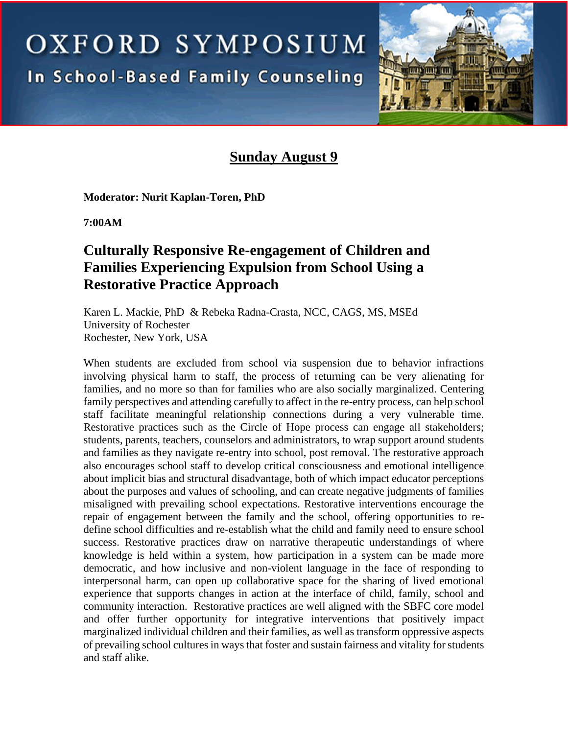OXFORD SYMPOSIUM

**In School-Based Family Counseling** 



### **Sunday August 9**

**Moderator: Nurit Kaplan-Toren, PhD** 

**7:00AM**

# **Culturally Responsive Re-engagement of Children and Families Experiencing Expulsion from School Using a Restorative Practice Approach**

Karen L. Mackie, PhD & Rebeka Radna-Crasta, NCC, CAGS, MS, MSEd University of Rochester Rochester, New York, USA

When students are excluded from school via suspension due to behavior infractions involving physical harm to staff, the process of returning can be very alienating for families, and no more so than for families who are also socially marginalized. Centering family perspectives and attending carefully to affect in the re-entry process, can help school staff facilitate meaningful relationship connections during a very vulnerable time. Restorative practices such as the Circle of Hope process can engage all stakeholders; students, parents, teachers, counselors and administrators, to wrap support around students and families as they navigate re-entry into school, post removal. The restorative approach also encourages school staff to develop critical consciousness and emotional intelligence about implicit bias and structural disadvantage, both of which impact educator perceptions about the purposes and values of schooling, and can create negative judgments of families misaligned with prevailing school expectations. Restorative interventions encourage the repair of engagement between the family and the school, offering opportunities to redefine school difficulties and re-establish what the child and family need to ensure school success. Restorative practices draw on narrative therapeutic understandings of where knowledge is held within a system, how participation in a system can be made more democratic, and how inclusive and non-violent language in the face of responding to interpersonal harm, can open up collaborative space for the sharing of lived emotional experience that supports changes in action at the interface of child, family, school and community interaction. Restorative practices are well aligned with the SBFC core model and offer further opportunity for integrative interventions that positively impact marginalized individual children and their families, as well as transform oppressive aspects of prevailing school cultures in ways that foster and sustain fairness and vitality for students and staff alike.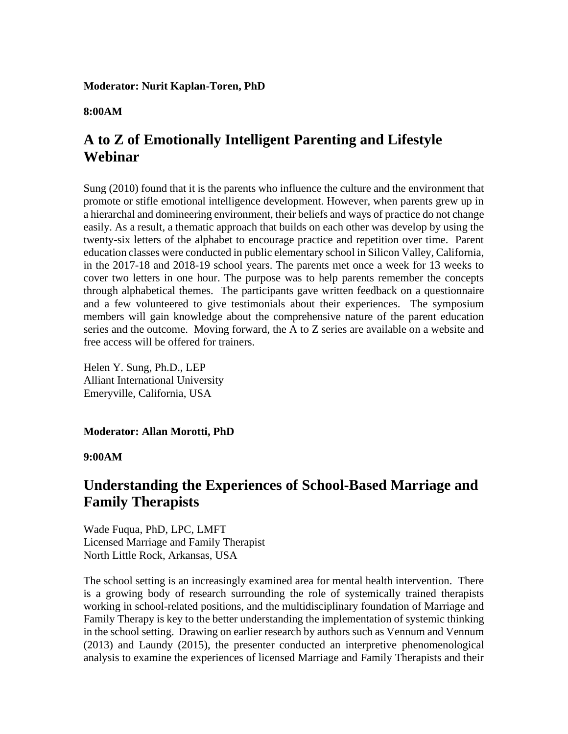### **Moderator: Nurit Kaplan-Toren, PhD**

**8:00AM**

### **A to Z of Emotionally Intelligent Parenting and Lifestyle Webinar**

Sung (2010) found that it is the parents who influence the culture and the environment that promote or stifle emotional intelligence development. However, when parents grew up in a hierarchal and domineering environment, their beliefs and ways of practice do not change easily. As a result, a thematic approach that builds on each other was develop by using the twenty-six letters of the alphabet to encourage practice and repetition over time. Parent education classes were conducted in public elementary school in Silicon Valley, California, in the 2017-18 and 2018-19 school years. The parents met once a week for 13 weeks to cover two letters in one hour. The purpose was to help parents remember the concepts through alphabetical themes. The participants gave written feedback on a questionnaire and a few volunteered to give testimonials about their experiences. The symposium members will gain knowledge about the comprehensive nature of the parent education series and the outcome. Moving forward, the A to Z series are available on a website and free access will be offered for trainers.

Helen Y. Sung, Ph.D., LEP Alliant International University Emeryville, California, USA

**Moderator: Allan Morotti, PhD** 

**9:00AM**

### **Understanding the Experiences of School-Based Marriage and Family Therapists**

Wade Fuqua, PhD, LPC, LMFT Licensed Marriage and Family Therapist North Little Rock, Arkansas, USA

The school setting is an increasingly examined area for mental health intervention. There is a growing body of research surrounding the role of systemically trained therapists working in school-related positions, and the multidisciplinary foundation of Marriage and Family Therapy is key to the better understanding the implementation of systemic thinking in the school setting. Drawing on earlier research by authors such as Vennum and Vennum (2013) and Laundy (2015), the presenter conducted an interpretive phenomenological analysis to examine the experiences of licensed Marriage and Family Therapists and their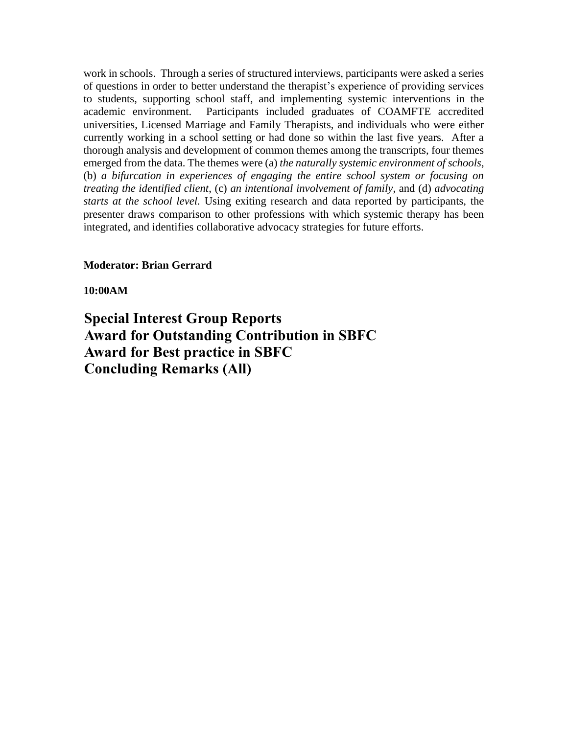work in schools. Through a series of structured interviews, participants were asked a series of questions in order to better understand the therapist's experience of providing services to students, supporting school staff, and implementing systemic interventions in the academic environment. Participants included graduates of COAMFTE accredited universities, Licensed Marriage and Family Therapists, and individuals who were either currently working in a school setting or had done so within the last five years. After a thorough analysis and development of common themes among the transcripts, four themes emerged from the data. The themes were (a) *the naturally systemic environment of schools*, (b) *a bifurcation in experiences of engaging the entire school system or focusing on treating the identified client*, (c) *an intentional involvement of family*, and (d) *advocating starts at the school level.* Using exiting research and data reported by participants, the presenter draws comparison to other professions with which systemic therapy has been integrated, and identifies collaborative advocacy strategies for future efforts.

### **Moderator: Brian Gerrard**

**10:00AM**

**Special Interest Group Reports Award for Outstanding Contribution in SBFC Award for Best practice in SBFC Concluding Remarks (All)**